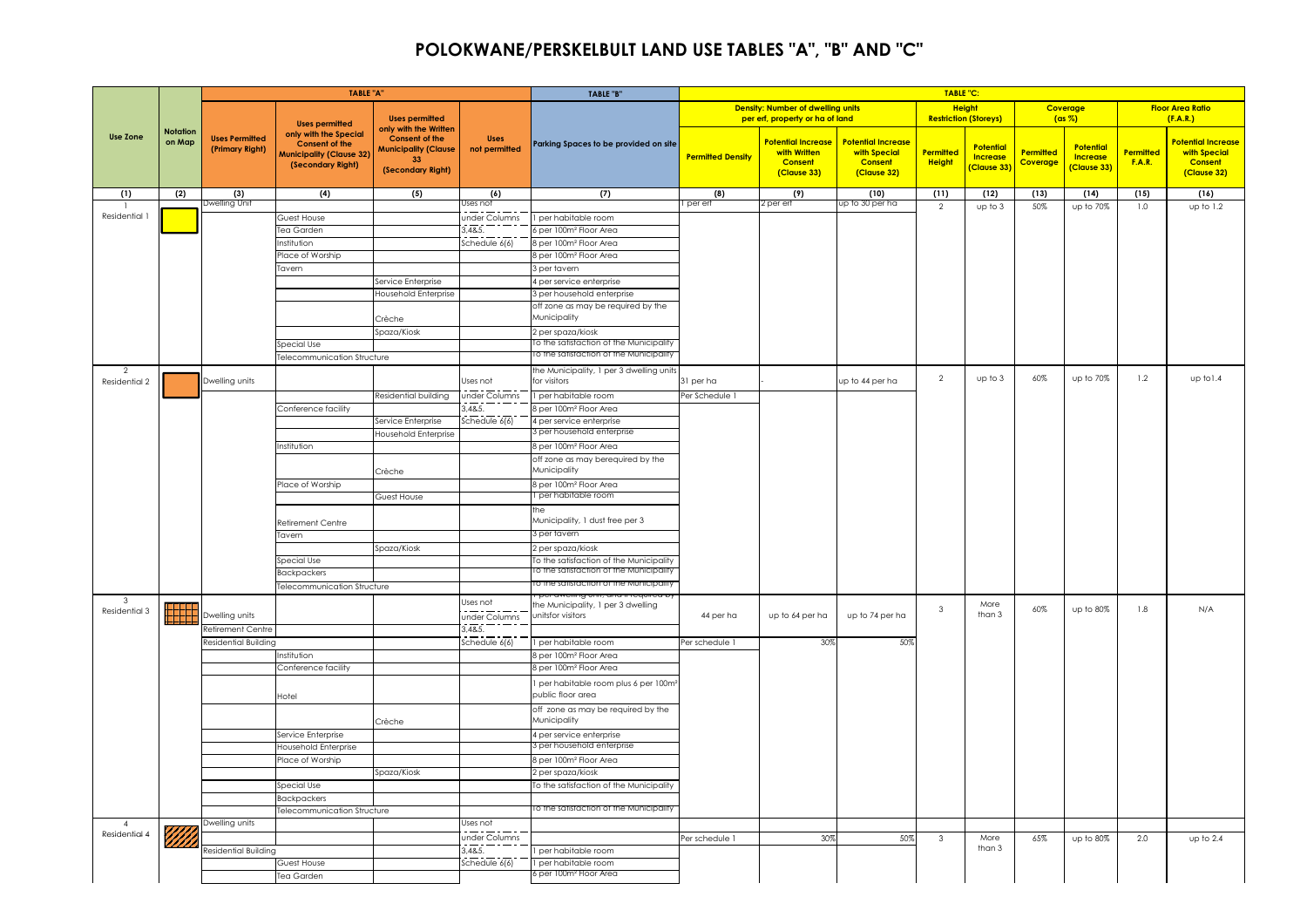## **POLOKWANE/PERSKELBULT LAND USE TABLES "A", "B" AND "C"**

|                                 |                           |                                                                                                      | <b>TABLE "A"</b>                                                                                       |                                                                                 |                                     | TABLE "B"                                                |                          |                                                                             |                                                                            | TABLE "C:                                     |                                                  |                       |                                                    |                            |                                                                            |
|---------------------------------|---------------------------|------------------------------------------------------------------------------------------------------|--------------------------------------------------------------------------------------------------------|---------------------------------------------------------------------------------|-------------------------------------|----------------------------------------------------------|--------------------------|-----------------------------------------------------------------------------|----------------------------------------------------------------------------|-----------------------------------------------|--------------------------------------------------|-----------------------|----------------------------------------------------|----------------------------|----------------------------------------------------------------------------|
|                                 |                           |                                                                                                      | <b>Uses permitted</b>                                                                                  | <b>Uses permitted</b><br>only with the Written                                  |                                     |                                                          |                          | <b>Density: Number of dwelling units</b><br>per erf, property or ha of land |                                                                            | <b>Height</b><br><b>Restriction (Storeys)</b> |                                                  |                       | Coverage<br>(ax %)                                 |                            | <b>Floor Area Ratio</b><br>(F.A.R.)                                        |
| <b>Use Zone</b>                 | <b>Notation</b><br>on Map | <b>Uses Permitted</b><br>(Primary Right)                                                             | only with the Special<br><b>Consent of the</b><br><b>Municipality (Clause 32)</b><br>(Secondary Right) | <b>Consent of the</b><br><b>Municipality (Clause</b><br>33<br>(Secondary Right) | <b>Uses</b><br>not permitted        | Parking Spaces to be provided on site                    | <b>Permitted Density</b> | <b>Potential Increase</b><br>with Written<br><b>Consent</b><br>(Clause 33)  | <b>Potential Increase</b><br>with Special<br><b>Consent</b><br>(Clause 32) | Permitted<br><b>Height</b>                    | <b>Potential</b><br><b>Increase</b><br>Clause 33 | Permitted<br>Coverage | <b>Potential</b><br><b>Increase</b><br>(Clause 33) | Permitted<br><b>F.A.R.</b> | <b>Potential Increase</b><br>with Special<br><b>Consent</b><br>(Clause 32) |
| (1)                             | (2)                       | (3)                                                                                                  | (4)                                                                                                    | (5)                                                                             | (6)<br>Jses not                     | (7)                                                      | (8)<br>per erf           | (9)<br>2 per erf                                                            | (10)<br>up to 30 per ha                                                    | (11)                                          | (12)                                             | (13)                  | (14)                                               | (15)                       | (16)                                                                       |
| Residential                     |                           |                                                                                                      | Guest House                                                                                            |                                                                                 | under Columns                       | per habitable room                                       |                          |                                                                             |                                                                            | $\overline{2}$                                | up to 3                                          | 50%                   | up to 70%                                          | 1.0                        | up to 1.2                                                                  |
|                                 |                           |                                                                                                      | <b>Tea Garden</b>                                                                                      |                                                                                 | 3.48.5                              | per 100m <sup>2</sup> Floor Area                         |                          |                                                                             |                                                                            |                                               |                                                  |                       |                                                    |                            |                                                                            |
|                                 |                           |                                                                                                      | <b>stitution</b>                                                                                       |                                                                                 | $\overline{\text{c}}$ hedule $6(6)$ | ger 100m <sup>2</sup> Floor Area                         |                          |                                                                             |                                                                            |                                               |                                                  |                       |                                                    |                            |                                                                            |
|                                 |                           |                                                                                                      | lace of Worship                                                                                        |                                                                                 |                                     | 8 per 100m <sup>2</sup> Floor Area                       |                          |                                                                             |                                                                            |                                               |                                                  |                       |                                                    |                            |                                                                            |
|                                 |                           |                                                                                                      | Tavern                                                                                                 |                                                                                 |                                     | 3 per tavern                                             |                          |                                                                             |                                                                            |                                               |                                                  |                       |                                                    |                            |                                                                            |
|                                 |                           |                                                                                                      |                                                                                                        | Service Enterprise                                                              |                                     | 4 per service enterprise                                 |                          |                                                                             |                                                                            |                                               |                                                  |                       |                                                    |                            |                                                                            |
|                                 |                           |                                                                                                      |                                                                                                        | Household Enterprise                                                            |                                     | 3 per household enterprise                               |                          |                                                                             |                                                                            |                                               |                                                  |                       |                                                    |                            |                                                                            |
|                                 |                           |                                                                                                      |                                                                                                        |                                                                                 |                                     | off zone as may be required by the                       |                          |                                                                             |                                                                            |                                               |                                                  |                       |                                                    |                            |                                                                            |
|                                 |                           |                                                                                                      |                                                                                                        | Crèche                                                                          |                                     | Municipality                                             |                          |                                                                             |                                                                            |                                               |                                                  |                       |                                                    |                            |                                                                            |
|                                 |                           |                                                                                                      |                                                                                                        | Spaza/Kiosk                                                                     |                                     | 2 per spaza/kiosk                                        |                          |                                                                             |                                                                            |                                               |                                                  |                       |                                                    |                            |                                                                            |
|                                 |                           | Dwelling Uni<br>Dwelling units<br>Dwelling units<br><b>Retirement Centre</b><br>Residential Building | Special Use                                                                                            |                                                                                 |                                     | To the satistaction of the Municipality                  |                          |                                                                             |                                                                            |                                               |                                                  |                       |                                                    |                            |                                                                            |
|                                 |                           |                                                                                                      | Felecommunication Structure                                                                            |                                                                                 |                                     | o the satisfaction of the Municipality                   |                          |                                                                             |                                                                            |                                               |                                                  |                       |                                                    |                            |                                                                            |
| $\overline{2}$<br>Residential 2 |                           |                                                                                                      |                                                                                                        |                                                                                 | Jses not                            | the Municipality, 1 per 3 dwelling unit:<br>for visitors | 31 per ha                |                                                                             | up to 44 per ha                                                            | $\overline{2}$                                | up to 3                                          | 60%                   | up to 70%                                          | 1.2                        | up to 1.4                                                                  |
|                                 |                           |                                                                                                      |                                                                                                        | Residential building                                                            | under Columns                       | I per habitable room                                     | Per Schedule 1           |                                                                             |                                                                            |                                               |                                                  |                       |                                                    |                            |                                                                            |
|                                 |                           |                                                                                                      | Conference facility                                                                                    |                                                                                 | 3,48.5.                             | 8 per 100m <sup>2</sup> Floor Area                       |                          |                                                                             |                                                                            |                                               |                                                  |                       |                                                    |                            |                                                                            |
|                                 |                           |                                                                                                      |                                                                                                        | Service Enterprise                                                              | Schedule $6(6)$                     | 4 per service enterprise                                 |                          |                                                                             |                                                                            |                                               |                                                  |                       |                                                    |                            |                                                                            |
|                                 |                           |                                                                                                      |                                                                                                        | Household Enterprise                                                            |                                     | 3 per household enterprise                               |                          |                                                                             |                                                                            |                                               |                                                  |                       |                                                    |                            |                                                                            |
|                                 |                           |                                                                                                      | Institution                                                                                            |                                                                                 |                                     | 8 per 100m <sup>2</sup> Floor Area                       |                          |                                                                             |                                                                            |                                               |                                                  |                       |                                                    |                            |                                                                            |
|                                 |                           |                                                                                                      |                                                                                                        |                                                                                 |                                     | off zone as may berequired by the                        |                          |                                                                             |                                                                            |                                               |                                                  |                       |                                                    |                            |                                                                            |
|                                 |                           |                                                                                                      |                                                                                                        | Crèche                                                                          |                                     | Municipality                                             |                          |                                                                             |                                                                            |                                               |                                                  |                       |                                                    |                            |                                                                            |
|                                 |                           |                                                                                                      | lace of Worship                                                                                        |                                                                                 |                                     | 8 per 100m <sup>2</sup> Floor Area                       |                          |                                                                             |                                                                            |                                               |                                                  |                       |                                                    |                            |                                                                            |
|                                 |                           |                                                                                                      |                                                                                                        | Guest House                                                                     |                                     | 1 per habitable room                                     |                          |                                                                             |                                                                            |                                               |                                                  |                       |                                                    |                            |                                                                            |
|                                 |                           |                                                                                                      | Retirement Centre                                                                                      |                                                                                 |                                     | the<br>Municipality, 1 dust free per 3                   |                          |                                                                             |                                                                            |                                               |                                                  |                       |                                                    |                            |                                                                            |
|                                 |                           |                                                                                                      | Tavern                                                                                                 |                                                                                 |                                     | 3 per tavern                                             |                          |                                                                             |                                                                            |                                               |                                                  |                       |                                                    |                            |                                                                            |
|                                 |                           |                                                                                                      |                                                                                                        | Spaza/Kiosk                                                                     |                                     | 2 per spaza/kiosk                                        |                          |                                                                             |                                                                            |                                               |                                                  |                       |                                                    |                            |                                                                            |
|                                 |                           |                                                                                                      | Special Use                                                                                            |                                                                                 |                                     | To the satisfaction of the Municipality                  |                          |                                                                             |                                                                            |                                               |                                                  |                       |                                                    |                            |                                                                            |
|                                 |                           |                                                                                                      | <b>Backpackers</b>                                                                                     |                                                                                 |                                     | o the satisfaction of the Municipal                      |                          |                                                                             |                                                                            |                                               |                                                  |                       |                                                    |                            |                                                                            |
|                                 |                           |                                                                                                      | <b>Felecommunication Structure</b>                                                                     |                                                                                 |                                     |                                                          |                          |                                                                             |                                                                            |                                               |                                                  |                       |                                                    |                            |                                                                            |
| -3                              |                           |                                                                                                      |                                                                                                        |                                                                                 | Jses not                            |                                                          |                          |                                                                             |                                                                            |                                               |                                                  |                       |                                                    |                            |                                                                            |
| Residential 3                   |                           |                                                                                                      |                                                                                                        |                                                                                 | under Columns                       | the Municipality, 1 per 3 dwelling<br>unitsfor visitors  | 44 per ha                | up to 64 per ha                                                             | up to 74 per ha                                                            | $\mathbf{3}$                                  | More<br>than 3                                   | 60%                   | up to 80%                                          | 1.8                        | N/A                                                                        |
|                                 |                           |                                                                                                      |                                                                                                        |                                                                                 | 3,48.5.                             |                                                          |                          |                                                                             |                                                                            |                                               |                                                  |                       |                                                    |                            |                                                                            |
|                                 |                           |                                                                                                      |                                                                                                        |                                                                                 | Schedule $6(6)$                     | per habitable room                                       | Per schedule 1           | 30%                                                                         | 50%                                                                        |                                               |                                                  |                       |                                                    |                            |                                                                            |
|                                 |                           |                                                                                                      | Institution                                                                                            |                                                                                 |                                     | 8 per 100m <sup>2</sup> Floor Area                       |                          |                                                                             |                                                                            |                                               |                                                  |                       |                                                    |                            |                                                                            |
|                                 |                           |                                                                                                      | Conference facility                                                                                    |                                                                                 |                                     | 8 per 100m <sup>2</sup> Floor Area                       |                          |                                                                             |                                                                            |                                               |                                                  |                       |                                                    |                            |                                                                            |
|                                 |                           |                                                                                                      |                                                                                                        |                                                                                 |                                     | I per habitable room plus 6 per 100m                     |                          |                                                                             |                                                                            |                                               |                                                  |                       |                                                    |                            |                                                                            |
|                                 |                           |                                                                                                      | Hotel                                                                                                  |                                                                                 |                                     | public floor area                                        |                          |                                                                             |                                                                            |                                               |                                                  |                       |                                                    |                            |                                                                            |
|                                 |                           |                                                                                                      |                                                                                                        |                                                                                 |                                     | off zone as may be required by the                       |                          |                                                                             |                                                                            |                                               |                                                  |                       |                                                    |                            |                                                                            |
|                                 |                           |                                                                                                      |                                                                                                        | Crèche                                                                          |                                     | Municipality                                             |                          |                                                                             |                                                                            |                                               |                                                  |                       |                                                    |                            |                                                                            |
|                                 |                           |                                                                                                      | Service Enterprise                                                                                     |                                                                                 |                                     | 4 per service enterprise                                 |                          |                                                                             |                                                                            |                                               |                                                  |                       |                                                    |                            |                                                                            |
|                                 |                           |                                                                                                      | Household Enterprise                                                                                   |                                                                                 |                                     | 3 per household enterprise                               |                          |                                                                             |                                                                            |                                               |                                                  |                       |                                                    |                            |                                                                            |
|                                 |                           |                                                                                                      | Place of Worship                                                                                       |                                                                                 |                                     | 8 per 100m <sup>2</sup> Floor Area                       |                          |                                                                             |                                                                            |                                               |                                                  |                       |                                                    |                            |                                                                            |
|                                 |                           |                                                                                                      |                                                                                                        | Spaza/Kiosk                                                                     |                                     | 2 per spaza/kiosk                                        |                          |                                                                             |                                                                            |                                               |                                                  |                       |                                                    |                            |                                                                            |
|                                 |                           |                                                                                                      | Special Use                                                                                            |                                                                                 |                                     | To the satisfaction of the Municipality                  |                          |                                                                             |                                                                            |                                               |                                                  |                       |                                                    |                            |                                                                            |
|                                 |                           |                                                                                                      | Backpackers<br>Felecommunication Structure                                                             |                                                                                 |                                     | To the satisfaction of the Municipality                  |                          |                                                                             |                                                                            |                                               |                                                  |                       |                                                    |                            |                                                                            |
| $\overline{4}$                  |                           | Dwelling units                                                                                       |                                                                                                        |                                                                                 | Jses not                            |                                                          |                          |                                                                             |                                                                            |                                               |                                                  |                       |                                                    |                            |                                                                            |
| Residential 4                   |                           |                                                                                                      |                                                                                                        |                                                                                 | under Columns                       |                                                          |                          |                                                                             |                                                                            |                                               | More                                             |                       |                                                    | 2.0                        |                                                                            |
|                                 |                           | Residential Building                                                                                 |                                                                                                        |                                                                                 | 3,48.5                              | per habitable room                                       | Per schedule 1           | 30%                                                                         | 50%                                                                        | 3                                             | than 3                                           | 65%                   | up to 80%                                          |                            | up to 2.4                                                                  |
|                                 |                           |                                                                                                      | Guest House                                                                                            |                                                                                 | Schedule 6(6)                       | I per habitable room                                     |                          |                                                                             |                                                                            |                                               |                                                  |                       |                                                    |                            |                                                                            |
|                                 |                           |                                                                                                      | Tea Garden                                                                                             |                                                                                 |                                     | 6 per 100m <sup>2</sup> Floor Area                       |                          |                                                                             |                                                                            |                                               |                                                  |                       |                                                    |                            |                                                                            |
|                                 |                           |                                                                                                      |                                                                                                        |                                                                                 |                                     |                                                          |                          |                                                                             |                                                                            |                                               |                                                  |                       |                                                    |                            |                                                                            |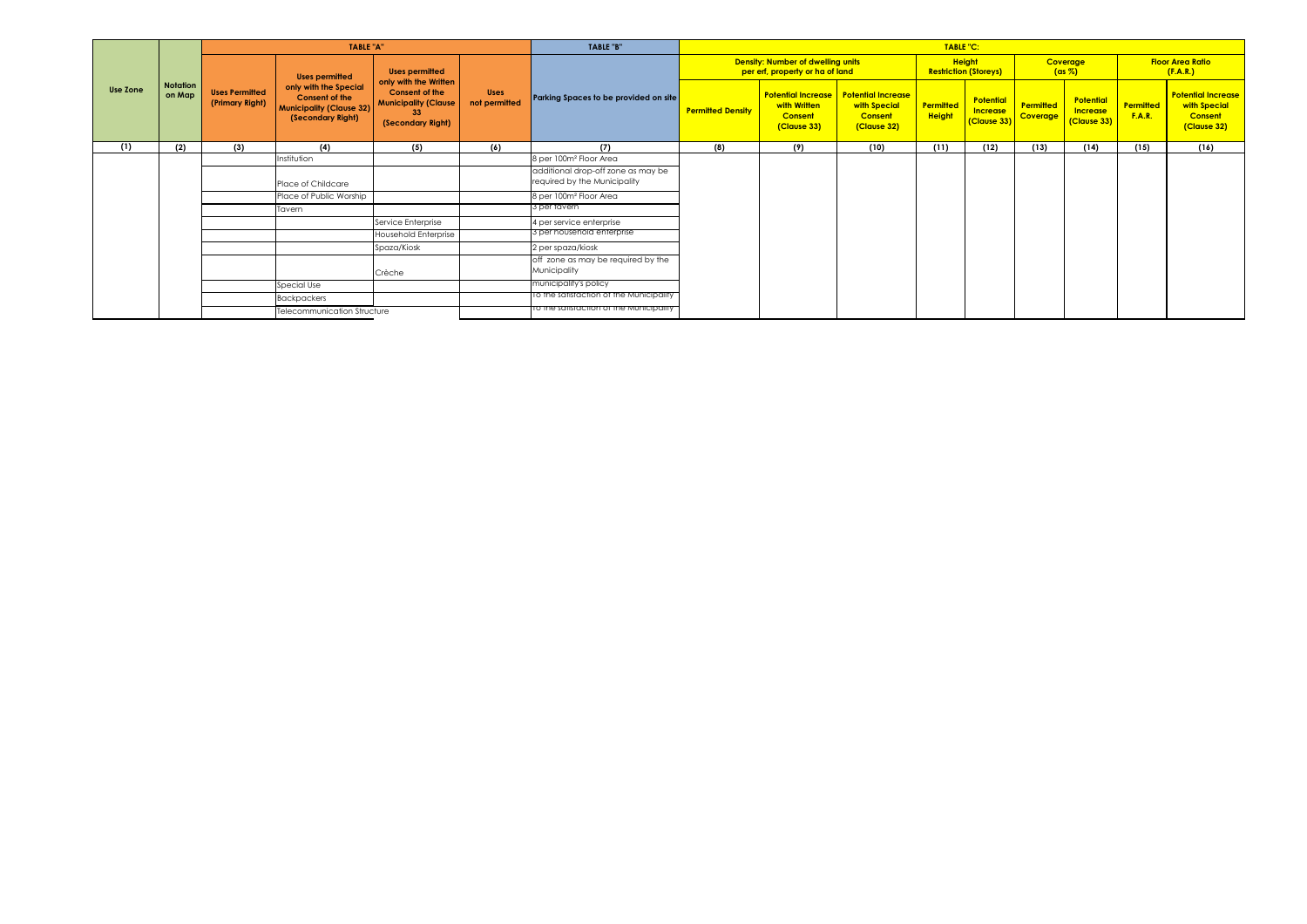|          |                           |                                          | TABLE "A"                                                                                              |                                                                                                          |                              | TABLE "B"                                                          |                          | TABLE "C:<br><b>Height</b><br><b>Density: Number of dwelling units</b><br>Coverage<br>per erf, property or ha of land<br><b>Restriction (Storeys)</b><br><b>Potential Increase</b><br><b>Potential Increase</b><br><b>Potential</b><br>Permitted<br>with Written<br>Permitted<br>with Special<br><b>Increase</b><br><b>Height</b><br>Coverage<br><b>Consent</b><br><b>Consent</b><br>(Clause 33)<br>(Clause 33)<br>(Clause 32)<br>(9)<br>(10)<br>(11)<br>(12)<br>(13) |  |  |  |  |                                             |                            |                                                                     |  |  |  |
|----------|---------------------------|------------------------------------------|--------------------------------------------------------------------------------------------------------|----------------------------------------------------------------------------------------------------------|------------------------------|--------------------------------------------------------------------|--------------------------|-----------------------------------------------------------------------------------------------------------------------------------------------------------------------------------------------------------------------------------------------------------------------------------------------------------------------------------------------------------------------------------------------------------------------------------------------------------------------|--|--|--|--|---------------------------------------------|----------------------------|---------------------------------------------------------------------|--|--|--|
|          |                           |                                          | <b>Uses permitted</b>                                                                                  | Uses permitted                                                                                           |                              |                                                                    |                          |                                                                                                                                                                                                                                                                                                                                                                                                                                                                       |  |  |  |  | $(\text{as } \%)$                           |                            | <b>Floor Area Ratio</b><br>(F.A.R.)                                 |  |  |  |
| Use Zone | <b>Notation</b><br>on Map | <b>Uses Permitted</b><br>(Primary Right) | only with the Special<br><b>Consent of the</b><br><b>Municipality (Clause 32)</b><br>(Secondary Right) | only with the Written<br><b>Consent of the</b><br><b>Municipality (Clause</b><br>33<br>(Secondary Right) | <b>Uses</b><br>not permitted | Parking Spaces to be provided on site                              | <b>Permitted Density</b> |                                                                                                                                                                                                                                                                                                                                                                                                                                                                       |  |  |  |  | Potential<br><b>Increase</b><br>(Clause 33) | Permitted<br><b>F.A.R.</b> | <b>Potential Increase</b><br>with Special<br>Consent<br>(Clause 32) |  |  |  |
| (1)      | (2)                       | (3)                                      | (4)                                                                                                    | (5)                                                                                                      | (6)                          | (7)                                                                | (8)                      |                                                                                                                                                                                                                                                                                                                                                                                                                                                                       |  |  |  |  | (14)                                        | (15)                       | (16)                                                                |  |  |  |
|          |                           |                                          | Institution                                                                                            |                                                                                                          |                              | 8 per 100m <sup>2</sup> Floor Area                                 |                          |                                                                                                                                                                                                                                                                                                                                                                                                                                                                       |  |  |  |  |                                             |                            |                                                                     |  |  |  |
|          |                           |                                          | Place of Childcare                                                                                     |                                                                                                          |                              | additional drop-off zone as may be<br>required by the Municipality |                          |                                                                                                                                                                                                                                                                                                                                                                                                                                                                       |  |  |  |  |                                             |                            |                                                                     |  |  |  |
|          |                           |                                          | Place of Public Worship                                                                                |                                                                                                          |                              | 8 per 100m <sup>2</sup> Floor Area                                 |                          |                                                                                                                                                                                                                                                                                                                                                                                                                                                                       |  |  |  |  |                                             |                            |                                                                     |  |  |  |
|          |                           |                                          | Tavern                                                                                                 |                                                                                                          |                              | 3 per tavern                                                       |                          |                                                                                                                                                                                                                                                                                                                                                                                                                                                                       |  |  |  |  |                                             |                            |                                                                     |  |  |  |
|          |                           |                                          |                                                                                                        | Service Enterprise                                                                                       |                              | 4 per service enterprise                                           |                          |                                                                                                                                                                                                                                                                                                                                                                                                                                                                       |  |  |  |  |                                             |                            |                                                                     |  |  |  |
|          |                           |                                          |                                                                                                        | Household Enterprise                                                                                     |                              | 3 per household enterprise                                         |                          |                                                                                                                                                                                                                                                                                                                                                                                                                                                                       |  |  |  |  |                                             |                            |                                                                     |  |  |  |
|          |                           |                                          |                                                                                                        | Spaza/Kiosk                                                                                              |                              | 2 per spaza/kiosk                                                  |                          |                                                                                                                                                                                                                                                                                                                                                                                                                                                                       |  |  |  |  |                                             |                            |                                                                     |  |  |  |
|          |                           |                                          |                                                                                                        | Crèche                                                                                                   |                              | off zone as may be required by the<br>Municipality                 |                          |                                                                                                                                                                                                                                                                                                                                                                                                                                                                       |  |  |  |  |                                             |                            |                                                                     |  |  |  |
|          |                           |                                          | Special Use                                                                                            |                                                                                                          |                              | municipality's policy                                              |                          |                                                                                                                                                                                                                                                                                                                                                                                                                                                                       |  |  |  |  |                                             |                            |                                                                     |  |  |  |
|          |                           |                                          | Backpackers                                                                                            |                                                                                                          |                              | To the satisfaction of the Municipality                            |                          |                                                                                                                                                                                                                                                                                                                                                                                                                                                                       |  |  |  |  |                                             |                            |                                                                     |  |  |  |
|          |                           |                                          | Telecommunication Structure                                                                            |                                                                                                          |                              | TO the satisfaction of the Municipality                            |                          |                                                                                                                                                                                                                                                                                                                                                                                                                                                                       |  |  |  |  |                                             |                            |                                                                     |  |  |  |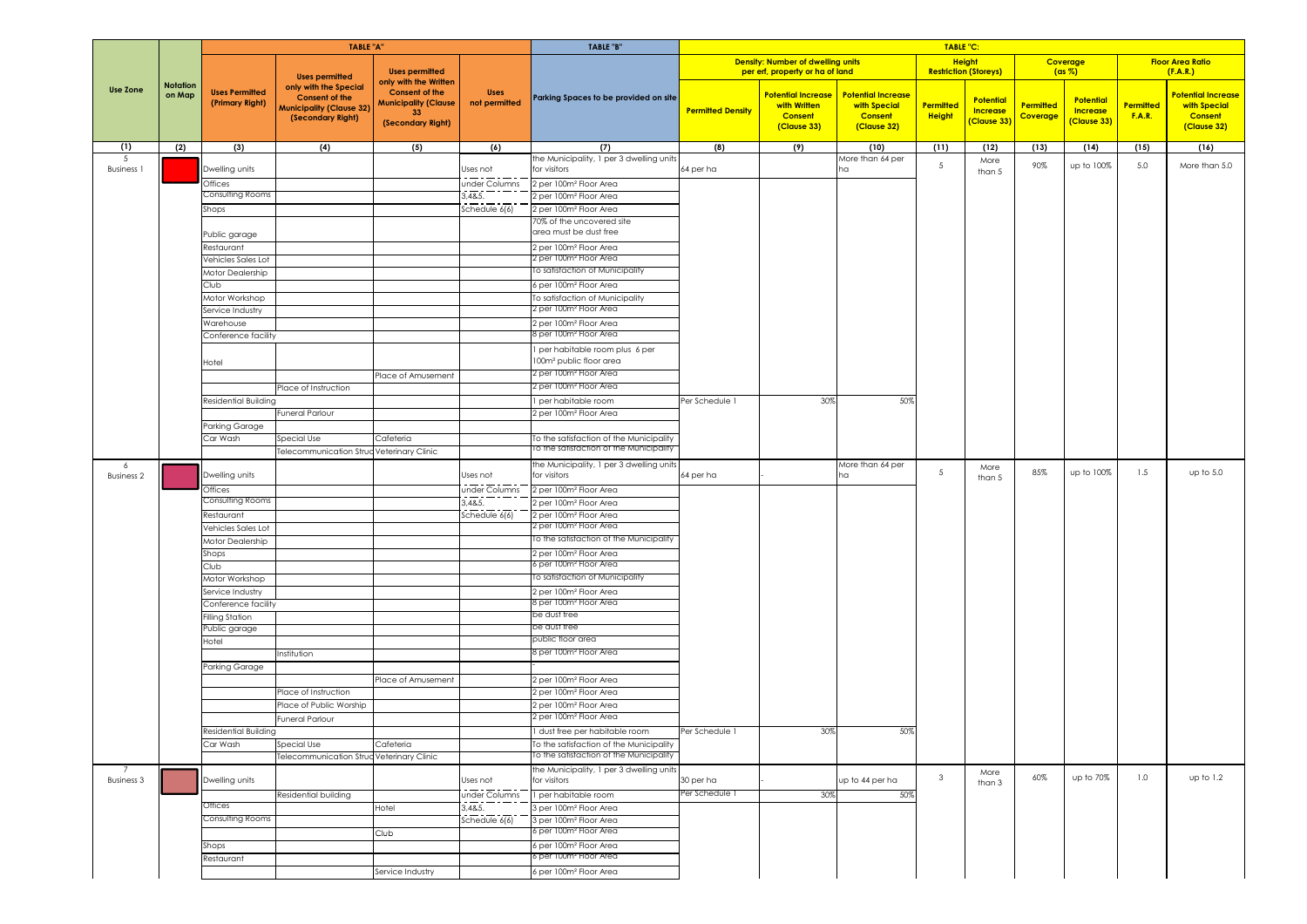|                         |                           |                                          | <b>TABLE "A"</b>                                                                                       |                                                                                                          |                              | TABLE "B"                                                                         |                          |                                                                             |                                                                            | <b>TABLE "C:</b>                              |                                                    |                              |                                                    |                            |                                                                     |
|-------------------------|---------------------------|------------------------------------------|--------------------------------------------------------------------------------------------------------|----------------------------------------------------------------------------------------------------------|------------------------------|-----------------------------------------------------------------------------------|--------------------------|-----------------------------------------------------------------------------|----------------------------------------------------------------------------|-----------------------------------------------|----------------------------------------------------|------------------------------|----------------------------------------------------|----------------------------|---------------------------------------------------------------------|
|                         |                           |                                          | <b>Uses permitted</b>                                                                                  | <b>Uses permitted</b>                                                                                    |                              |                                                                                   |                          | <b>Density: Number of dwelling units</b><br>per erf, property or ha of land |                                                                            | <b>Height</b><br><b>Restriction (Storeys)</b> |                                                    |                              | Coverage<br>$(ax \%)$                              |                            | <b>Floor Area Ratio</b><br>(F.A.R.)                                 |
| <b>Use Zone</b>         | <b>Notation</b><br>on Map | <b>Uses Permitted</b><br>(Primary Right) | only with the Special<br><b>Consent of the</b><br><b>Municipality (Clause 32)</b><br>(Secondary Right) | only with the Written<br><b>Consent of the</b><br><b>Municipality (Clause</b><br>33<br>(Secondary Right) | <b>Uses</b><br>not permitted | Parking Spaces to be provided on site                                             | <b>Permitted Density</b> | <b>Potential Increase</b><br>with Written<br><b>Consent</b><br>(Clause 33)  | <b>Potential Increase</b><br>with Special<br><b>Consent</b><br>(Clause 32) | Permitted<br><b>Height</b>                    | <b>Potential</b><br><b>Increase</b><br>[Clause 33] | Permitted<br><b>Coverage</b> | <b>Potential</b><br><b>Increase</b><br>(Clause 33) | Permitted<br><b>F.A.R.</b> | Potential Increase<br>with Special<br><b>Consent</b><br>(Clause 32) |
| (1)                     | (2)                       | (3)                                      | (4)                                                                                                    | (5)                                                                                                      | (6)                          | (7)                                                                               | (8)                      | (9)                                                                         | (10)                                                                       | (11)                                          | (12)                                               | (13)                         | (14)                                               | (15)                       | (16)                                                                |
| -5<br><b>Business</b> 1 |                           | Dwelling units                           |                                                                                                        |                                                                                                          | Uses not                     | the Municipality, 1 per 3 dwelling unit:<br>for visitors                          | 64 per ha                |                                                                             | More than 64 per                                                           | 5                                             | More<br>than 5                                     | 90%                          | up to 100%                                         | 5.0                        | More than 5.0                                                       |
|                         |                           | Offices                                  |                                                                                                        |                                                                                                          | under Columns                | 2 per 100m <sup>2</sup> Floor Area                                                |                          |                                                                             |                                                                            |                                               |                                                    |                              |                                                    |                            |                                                                     |
|                         |                           | Consulting Rooms                         |                                                                                                        |                                                                                                          | 3,48.5.                      | 2 per 100m <sup>2</sup> Floor Area                                                |                          |                                                                             |                                                                            |                                               |                                                    |                              |                                                    |                            |                                                                     |
|                         |                           | Shops                                    |                                                                                                        |                                                                                                          | Schedule 6(6)                | 2 per 100m <sup>2</sup> Floor Area                                                |                          |                                                                             |                                                                            |                                               |                                                    |                              |                                                    |                            |                                                                     |
|                         |                           |                                          |                                                                                                        |                                                                                                          |                              | 70% of the uncovered site<br>area must be dust free                               |                          |                                                                             |                                                                            |                                               |                                                    |                              |                                                    |                            |                                                                     |
|                         |                           | Public garage<br>Restaurant              |                                                                                                        |                                                                                                          |                              | 2 per 100m <sup>2</sup> Floor Area                                                |                          |                                                                             |                                                                            |                                               |                                                    |                              |                                                    |                            |                                                                     |
|                         |                           | Vehicles Sales Lot                       |                                                                                                        |                                                                                                          |                              | 2 per 100m <sup>2</sup> Floor Area                                                |                          |                                                                             |                                                                            |                                               |                                                    |                              |                                                    |                            |                                                                     |
|                         |                           | Motor Dealership                         |                                                                                                        |                                                                                                          |                              | To satisfaction of Municipality                                                   |                          |                                                                             |                                                                            |                                               |                                                    |                              |                                                    |                            |                                                                     |
|                         |                           | Club                                     |                                                                                                        |                                                                                                          |                              | 6 per 100m <sup>2</sup> Floor Area                                                |                          |                                                                             |                                                                            |                                               |                                                    |                              |                                                    |                            |                                                                     |
|                         |                           | Motor Workshop                           |                                                                                                        |                                                                                                          |                              | To satisfaction of Municipality                                                   |                          |                                                                             |                                                                            |                                               |                                                    |                              |                                                    |                            |                                                                     |
|                         |                           | Service Industry                         |                                                                                                        |                                                                                                          |                              | 2 per 100m² Floor Area                                                            |                          |                                                                             |                                                                            |                                               |                                                    |                              |                                                    |                            |                                                                     |
|                         |                           | Warehouse                                |                                                                                                        |                                                                                                          |                              | 2 per 100m <sup>2</sup> Floor Area<br>8 per 100mº Floor Area                      |                          |                                                                             |                                                                            |                                               |                                                    |                              |                                                    |                            |                                                                     |
|                         |                           | Conference facility                      |                                                                                                        |                                                                                                          |                              |                                                                                   |                          |                                                                             |                                                                            |                                               |                                                    |                              |                                                    |                            |                                                                     |
|                         |                           | Hotel                                    |                                                                                                        |                                                                                                          |                              | per habitable room plus 6 per<br>100m <sup>2</sup> public floor area              |                          |                                                                             |                                                                            |                                               |                                                    |                              |                                                    |                            |                                                                     |
|                         |                           |                                          |                                                                                                        | Place of Amusement                                                                                       |                              | 2 per 100m <sup>2</sup> Floor Area                                                |                          |                                                                             |                                                                            |                                               |                                                    |                              |                                                    |                            |                                                                     |
|                         |                           |                                          | Place of Instruction                                                                                   |                                                                                                          |                              | 2 per 100m <sup>2</sup> Floor Area                                                |                          |                                                                             |                                                                            |                                               |                                                    |                              |                                                    |                            |                                                                     |
|                         |                           | Residential Building                     |                                                                                                        |                                                                                                          |                              | per habitable room                                                                | Per Schedule 1           | 30%                                                                         | 509                                                                        |                                               |                                                    |                              |                                                    |                            |                                                                     |
|                         |                           |                                          | uneral Parlour                                                                                         |                                                                                                          |                              | 2 per 100m <sup>2</sup> Floor Area                                                |                          |                                                                             |                                                                            |                                               |                                                    |                              |                                                    |                            |                                                                     |
|                         |                           | arking Garage'                           |                                                                                                        |                                                                                                          |                              |                                                                                   |                          |                                                                             |                                                                            |                                               |                                                    |                              |                                                    |                            |                                                                     |
|                         |                           | Car Wash                                 | Special Use<br>Felecommunication Strud Veterinary Clinic                                               | Cafeteria                                                                                                |                              | To the satisfaction of the Municipality<br>o the satisfaction of the Municipality |                          |                                                                             |                                                                            |                                               |                                                    |                              |                                                    |                            |                                                                     |
| 6                       |                           |                                          |                                                                                                        |                                                                                                          |                              | the Municipality, 1 per 3 dwelling units                                          |                          |                                                                             | More than 64 per                                                           |                                               |                                                    |                              |                                                    |                            |                                                                     |
| <b>Business 2</b>       |                           | Dwelling units                           |                                                                                                        |                                                                                                          | Uses not                     | for visitors                                                                      | 64 per ha                |                                                                             |                                                                            | 5                                             | More<br>than 5                                     | 85%                          | up to 100%                                         | 1.5                        | up to $5.0$                                                         |
|                         |                           | Offices                                  |                                                                                                        |                                                                                                          | under Columns                | 2 per 100m <sup>2</sup> Floor Area                                                |                          |                                                                             |                                                                            |                                               |                                                    |                              |                                                    |                            |                                                                     |
|                         |                           | Consulting Rooms                         |                                                                                                        |                                                                                                          | 3,48.5.                      | per 100m <sup>2</sup> Floor Area                                                  |                          |                                                                             |                                                                            |                                               |                                                    |                              |                                                    |                            |                                                                     |
|                         |                           | Restaurant                               |                                                                                                        |                                                                                                          | Schedule 6(6)                | 2 per 100m <sup>2</sup> Floor Area                                                |                          |                                                                             |                                                                            |                                               |                                                    |                              |                                                    |                            |                                                                     |
|                         |                           | Vehicles Sales Lot                       |                                                                                                        |                                                                                                          |                              | 2 per 100m <del>°</del> Floor Area<br>To the satistaction of the Municipality     |                          |                                                                             |                                                                            |                                               |                                                    |                              |                                                    |                            |                                                                     |
|                         |                           | Motor Dealership<br>Shops                |                                                                                                        |                                                                                                          |                              | 2 per 100m <sup>2</sup> Floor Area                                                |                          |                                                                             |                                                                            |                                               |                                                    |                              |                                                    |                            |                                                                     |
|                         |                           | Club                                     |                                                                                                        |                                                                                                          |                              | 6 per 100m <sup>2</sup> Floor Area                                                |                          |                                                                             |                                                                            |                                               |                                                    |                              |                                                    |                            |                                                                     |
|                         |                           | Motor Workshop                           |                                                                                                        |                                                                                                          |                              | To satisfaction of Municipality                                                   |                          |                                                                             |                                                                            |                                               |                                                    |                              |                                                    |                            |                                                                     |
|                         |                           | Service Industry                         |                                                                                                        |                                                                                                          |                              | 2 per 100m <sup>2</sup> Floor Area                                                |                          |                                                                             |                                                                            |                                               |                                                    |                              |                                                    |                            |                                                                     |
|                         |                           | Conference facility                      |                                                                                                        |                                                                                                          |                              | 8 per 100mª Floor Area                                                            |                          |                                                                             |                                                                            |                                               |                                                    |                              |                                                    |                            |                                                                     |
|                         |                           | illing Station                           |                                                                                                        |                                                                                                          |                              | be dust tree<br>be dust tree                                                      |                          |                                                                             |                                                                            |                                               |                                                    |                              |                                                    |                            |                                                                     |
|                         |                           | Public garage<br>Hotel                   |                                                                                                        |                                                                                                          |                              | public floor area                                                                 |                          |                                                                             |                                                                            |                                               |                                                    |                              |                                                    |                            |                                                                     |
|                         |                           |                                          | nstitution                                                                                             |                                                                                                          |                              | 8 per 100m <sup>2</sup> Floor Area                                                |                          |                                                                             |                                                                            |                                               |                                                    |                              |                                                    |                            |                                                                     |
|                         |                           | Parking Garage                           |                                                                                                        |                                                                                                          |                              |                                                                                   |                          |                                                                             |                                                                            |                                               |                                                    |                              |                                                    |                            |                                                                     |
|                         |                           |                                          |                                                                                                        | Place of Amusement                                                                                       |                              | 2 per 100m <sup>2</sup> Floor Area                                                |                          |                                                                             |                                                                            |                                               |                                                    |                              |                                                    |                            |                                                                     |
|                         |                           |                                          | Place of Instruction                                                                                   |                                                                                                          |                              | 2 per 100m <sup>2</sup> Floor Area                                                |                          |                                                                             |                                                                            |                                               |                                                    |                              |                                                    |                            |                                                                     |
|                         |                           |                                          | Place of Public Worship                                                                                |                                                                                                          |                              | 2 per 100m <sup>2</sup> Floor Area                                                |                          |                                                                             |                                                                            |                                               |                                                    |                              |                                                    |                            |                                                                     |
|                         |                           |                                          | uneral Parlour                                                                                         |                                                                                                          |                              | 2 per 100m <sup>2</sup> Floor Area                                                | Per Schedule 1           |                                                                             |                                                                            |                                               |                                                    |                              |                                                    |                            |                                                                     |
|                         |                           | <b>Residential Building</b><br>Car Wash  | Special Use                                                                                            | Cafeteria                                                                                                |                              | I dust free per habitable room<br>To the satisfaction of the Municipality         |                          | 30%                                                                         | 50%                                                                        |                                               |                                                    |                              |                                                    |                            |                                                                     |
|                         |                           |                                          | Felecommunication Strud Veterinary Clinic                                                              |                                                                                                          |                              | To the satisfaction of the Municipalit <sup>,</sup>                               |                          |                                                                             |                                                                            |                                               |                                                    |                              |                                                    |                            |                                                                     |
| 7                       |                           |                                          |                                                                                                        |                                                                                                          |                              | the Municipality, 1 per 3 dwelling units                                          |                          |                                                                             |                                                                            |                                               |                                                    |                              |                                                    |                            |                                                                     |
|                         |                           |                                          |                                                                                                        |                                                                                                          |                              |                                                                                   |                          |                                                                             |                                                                            |                                               |                                                    |                              |                                                    |                            |                                                                     |
| <b>Business 3</b>       |                           | Dwelling units                           |                                                                                                        |                                                                                                          | Uses not                     | for visitors                                                                      | 30 per ha                |                                                                             | up to 44 per ha                                                            | $\mathbf{3}$                                  | More<br>than 3                                     | 60%                          | up to 70%                                          | 1.0                        | up to $1.2$                                                         |
|                         |                           |                                          | Residential building                                                                                   |                                                                                                          | under Columns                | 1 per habitable room                                                              | Per Schedule T           | 30%                                                                         | 50%                                                                        |                                               |                                                    |                              |                                                    |                            |                                                                     |
|                         |                           | Offices                                  |                                                                                                        | Hotel                                                                                                    | 3,48.5.                      | 3 per 100m <sup>2</sup> Floor Area                                                |                          |                                                                             |                                                                            |                                               |                                                    |                              |                                                    |                            |                                                                     |
|                         |                           | Consulting Rooms                         |                                                                                                        |                                                                                                          | Schedule $6(6)$              | 3 per 100m <sup>2</sup> Floor Area                                                |                          |                                                                             |                                                                            |                                               |                                                    |                              |                                                    |                            |                                                                     |
|                         |                           |                                          |                                                                                                        | Club                                                                                                     |                              | 6 per 100m <sup>2</sup> Floor Area                                                |                          |                                                                             |                                                                            |                                               |                                                    |                              |                                                    |                            |                                                                     |
|                         |                           | Shops<br>Restaurant                      |                                                                                                        |                                                                                                          |                              | 6 per 100m <sup>2</sup> Floor Area<br>6 per 100m <sup>2</sup> Floor Area          |                          |                                                                             |                                                                            |                                               |                                                    |                              |                                                    |                            |                                                                     |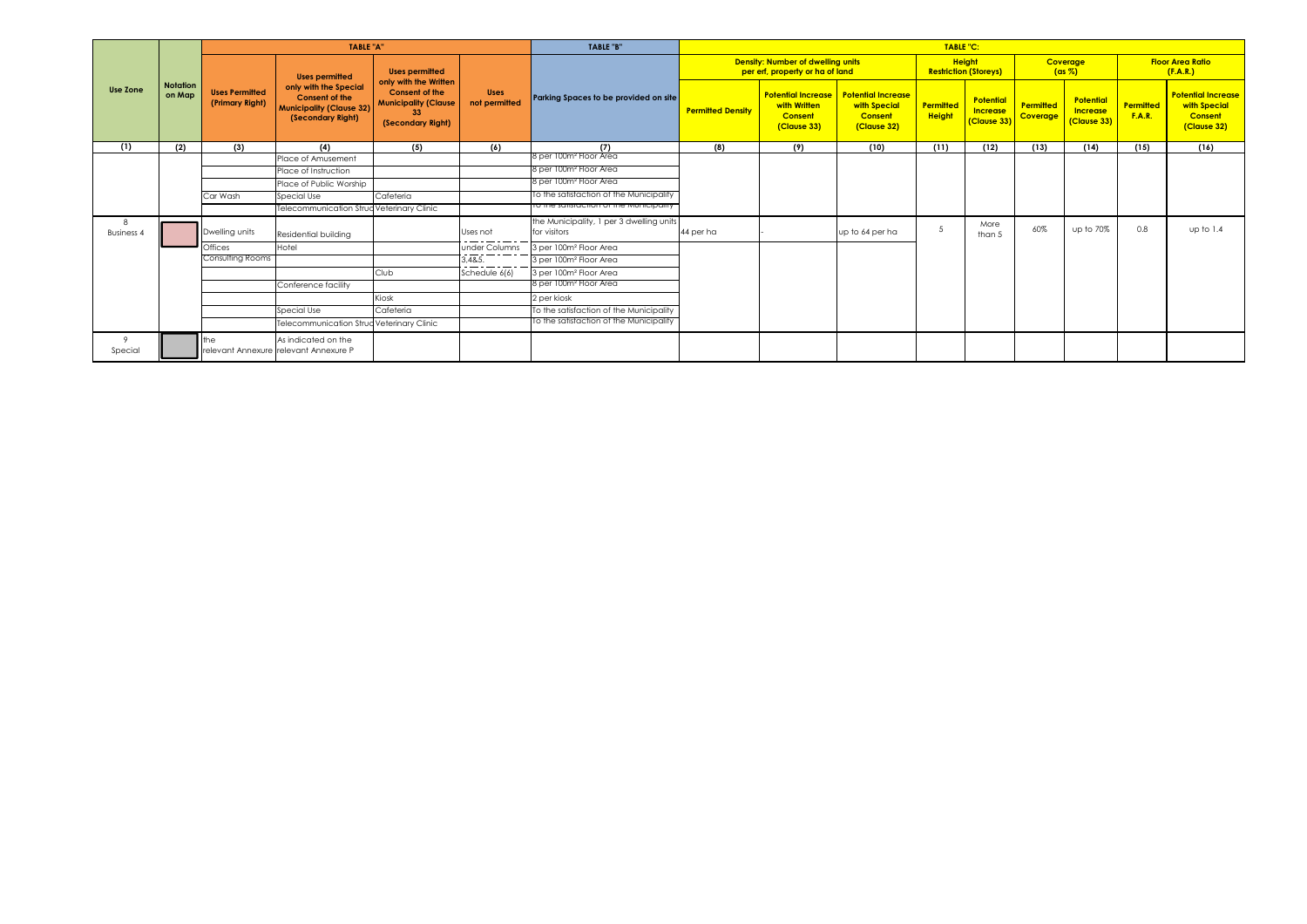|                        |                           |                                          | <b>TABLE "A"</b>                                                                                       |                                                                                        |                              | TABLE "B"                                                |                          |                                                                            |                                                                            | <b>TABLE "C:</b>                  |                                                    |                       |                                                    |                                   |                                                                     |
|------------------------|---------------------------|------------------------------------------|--------------------------------------------------------------------------------------------------------|----------------------------------------------------------------------------------------|------------------------------|----------------------------------------------------------|--------------------------|----------------------------------------------------------------------------|----------------------------------------------------------------------------|-----------------------------------|----------------------------------------------------|-----------------------|----------------------------------------------------|-----------------------------------|---------------------------------------------------------------------|
|                        |                           |                                          | <b>Uses permitted</b>                                                                                  | <b>Uses permitted</b><br>only with the Written                                         |                              |                                                          |                          | Density: Number of dwelling units<br>per erf, property or ha of land       |                                                                            |                                   | <b>Height</b><br><b>Restriction (Storeys)</b>      |                       | Coverage<br>$(ax \%)$                              |                                   | <b>Floor Area Ratio</b><br>(F.A.R.)                                 |
| <b>Use Zone</b>        | <b>Notation</b><br>on Map | <b>Uses Permitted</b><br>(Primary Right) | only with the Special<br><b>Consent of the</b><br><b>Municipality (Clause 32)</b><br>(Secondary Right) | <b>Consent of the</b><br><b>Municipality (Clause</b><br>33<br>(Secondary Right)<br>(5) | <b>Uses</b><br>not permitted | Parking Spaces to be provided on site                    | <b>Permitted Density</b> | <b>Potential Increase</b><br>with Written<br><b>Consent</b><br>(Clause 33) | <b>Potential Increase</b><br>with Special<br><b>Consent</b><br>(Clause 32) | <b>Permitted</b><br><b>Height</b> | <b>Potential</b><br><b>Increase</b><br>(Clause 33) | Permitted<br>Coverage | <b>Potential</b><br><b>Increase</b><br>(Clause 33) | <b>Permitted</b><br><b>F.A.R.</b> | <b>Potential Increase</b><br>with Special<br>Consent<br>(Clause 32) |
| (1)                    | (2)                       | (3)                                      | (4)                                                                                                    |                                                                                        | (6)                          | (7)<br>8 per 100m² Floor Area                            | (8)                      | (9)                                                                        | (10)                                                                       | (11)                              | (12)                                               | (13)                  | (14)                                               | (15)                              | (16)                                                                |
|                        |                           |                                          | Place of Amusement                                                                                     |                                                                                        |                              |                                                          |                          |                                                                            |                                                                            |                                   |                                                    |                       |                                                    |                                   |                                                                     |
|                        |                           |                                          | Place of Instruction                                                                                   |                                                                                        |                              | 8 per 100m <sup>2</sup> Floor Area                       |                          |                                                                            |                                                                            |                                   |                                                    |                       |                                                    |                                   |                                                                     |
|                        |                           |                                          | Place of Public Worship                                                                                |                                                                                        |                              | 8 per 100m <sup>2</sup> Floor Area                       |                          |                                                                            |                                                                            |                                   |                                                    |                       |                                                    |                                   |                                                                     |
|                        |                           | Car Wash                                 | Special Use                                                                                            | Cafeteria                                                                              |                              | To the satisfaction of the Municipality                  |                          |                                                                            |                                                                            |                                   |                                                    |                       |                                                    |                                   |                                                                     |
|                        |                           |                                          | Telecommunication Struc Veterinary Clinic                                                              |                                                                                        |                              | To the satisfaction of the Municipality                  |                          |                                                                            |                                                                            |                                   |                                                    |                       |                                                    |                                   |                                                                     |
| 8<br><b>Business 4</b> |                           | Dwelling units                           | Residential building                                                                                   |                                                                                        | Uses not                     | the Municipality, 1 per 3 dwelling units<br>for visitors | 44 per ha                |                                                                            | up to 64 per ha                                                            | 5                                 | More<br>than 5                                     | 60%                   | up to 70%                                          | 0.8                               | up to 1.4                                                           |
|                        |                           | Offices                                  | Hotel                                                                                                  |                                                                                        | under Columns                | 3 per 100m <sup>2</sup> Floor Area                       |                          |                                                                            |                                                                            |                                   |                                                    |                       |                                                    |                                   |                                                                     |
|                        |                           | Consulting Rooms                         |                                                                                                        |                                                                                        | 3.4&5.                       | 3 per 100m <sup>2</sup> Floor Area                       |                          |                                                                            |                                                                            |                                   |                                                    |                       |                                                    |                                   |                                                                     |
|                        |                           |                                          |                                                                                                        | Club                                                                                   | Schedule 6(6)                | 3 per 100m <sup>2</sup> Floor Area                       |                          |                                                                            |                                                                            |                                   |                                                    |                       |                                                    |                                   |                                                                     |
|                        |                           |                                          | Conference facility                                                                                    |                                                                                        |                              | 8 per 100m² Floor Area                                   |                          |                                                                            |                                                                            |                                   |                                                    |                       |                                                    |                                   |                                                                     |
|                        |                           |                                          |                                                                                                        | Kiosk                                                                                  |                              | 2 per kiosk                                              |                          |                                                                            |                                                                            |                                   |                                                    |                       |                                                    |                                   |                                                                     |
|                        |                           |                                          | Special Use                                                                                            | Cafeteria                                                                              |                              | To the satisfaction of the Municipality                  |                          |                                                                            |                                                                            |                                   |                                                    |                       |                                                    |                                   |                                                                     |
|                        |                           |                                          | Telecommunication Struc Veterinary Clinic                                                              |                                                                                        |                              | To the satistaction of the Municipality                  |                          |                                                                            |                                                                            |                                   |                                                    |                       |                                                    |                                   |                                                                     |
| 9<br>Special           |                           | the                                      | As indicated on the<br>relevant Annexure relevant Annexure P                                           |                                                                                        |                              |                                                          |                          |                                                                            |                                                                            |                                   |                                                    |                       |                                                    |                                   |                                                                     |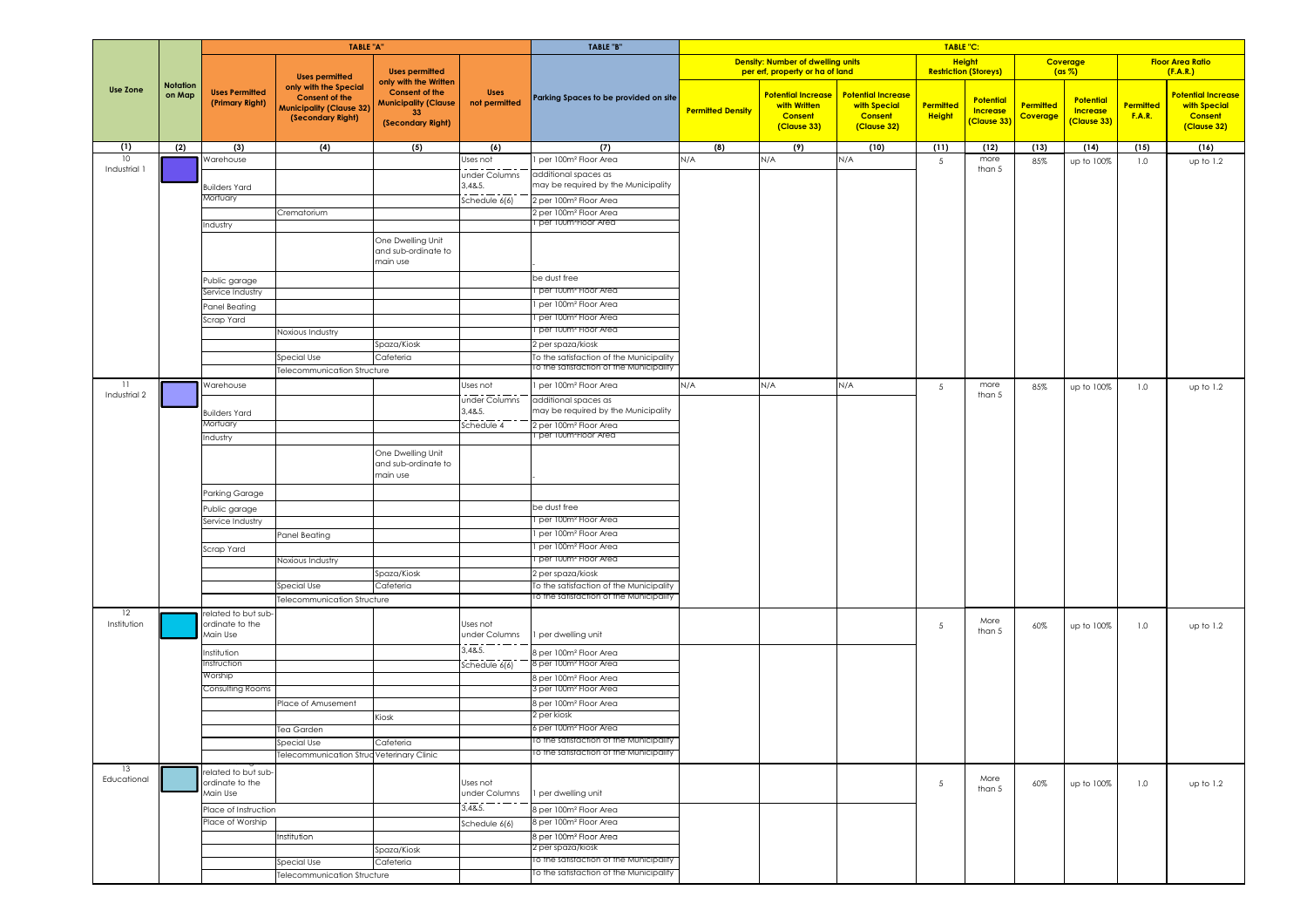|                   |                           |                                                    | <b>TABLE "A"</b>                                                                                       |                                                                                                          |                              | TABLE "B"                                                    |     |                          |                                                                             |                                                                            | TABLE "C:                  |                                                    |                              |                                                    |                            |                                                                            |
|-------------------|---------------------------|----------------------------------------------------|--------------------------------------------------------------------------------------------------------|----------------------------------------------------------------------------------------------------------|------------------------------|--------------------------------------------------------------|-----|--------------------------|-----------------------------------------------------------------------------|----------------------------------------------------------------------------|----------------------------|----------------------------------------------------|------------------------------|----------------------------------------------------|----------------------------|----------------------------------------------------------------------------|
|                   |                           |                                                    | <b>Uses permitted</b>                                                                                  | <b>Uses permitted</b>                                                                                    |                              |                                                              |     |                          | <b>Density: Number of dwelling units</b><br>per erf, property or ha of land |                                                                            | <b>Height</b>              | <b>Restriction (Storeys)</b>                       |                              | Coverage<br>$(ax \%)$                              |                            | <b>Floor Area Ratio</b><br>(F.A.R.)                                        |
| <b>Use Zone</b>   | <b>Notation</b><br>on Map | <b>Uses Permitted</b><br>(Primary Right)           | only with the Special<br><b>Consent of the</b><br><b>Municipality (Clause 32)</b><br>(Secondary Right) | only with the Written<br><b>Consent of the</b><br><b>Municipality (Clause</b><br>33<br>(Secondary Right) | <b>Uses</b><br>not permitted | Parking Spaces to be provided on site                        |     | <b>Permitted Density</b> | <b>Potential Increase</b><br>with Written<br><b>Consent</b><br>(Clause 33)  | <b>Potential Increase</b><br>with Special<br><b>Consent</b><br>(Clause 32) | Permitted<br><b>Height</b> | <b>Potential</b><br><b>Increase</b><br>(Clause 33) | Permitted<br><b>Coverage</b> | <b>Potential</b><br><b>Increase</b><br>(Clause 33) | Permitted<br><b>F.A.R.</b> | <b>Potential Increase</b><br>with Special<br><b>Consent</b><br>(Clause 32) |
| (1)<br>10         | (2)                       | (3)<br><b>Narehouse</b>                            | (4)                                                                                                    | (5)                                                                                                      | (6)<br>Jses not              | (7)                                                          | N/A | (8)                      | (9)<br>N/A                                                                  | (10)<br>N/A                                                                | (11)                       | (12)<br>more                                       | (13)                         | (14)                                               | (15)                       | (16)                                                                       |
| Industrial 1      |                           |                                                    |                                                                                                        |                                                                                                          | under Columns                | per 100m <sup>2</sup> Floor Area<br>additional spaces as     |     |                          |                                                                             |                                                                            | 5                          | than 5                                             | 85%                          | up to 100%                                         | 1.0                        | up to 1.2                                                                  |
|                   |                           | <b>Builders Yard</b>                               |                                                                                                        |                                                                                                          | 3,48.5.                      | may be required by the Municipality                          |     |                          |                                                                             |                                                                            |                            |                                                    |                              |                                                    |                            |                                                                            |
|                   |                           | Mortuary                                           |                                                                                                        |                                                                                                          | Schedule $6(6)$              | 2 per 100m <sup>2</sup> Floor Area                           |     |                          |                                                                             |                                                                            |                            |                                                    |                              |                                                    |                            |                                                                            |
|                   |                           |                                                    | Crematorium                                                                                            |                                                                                                          |                              | 2 per 100m <sup>2</sup> Floor Area                           |     |                          |                                                                             |                                                                            |                            |                                                    |                              |                                                    |                            |                                                                            |
|                   |                           | Industry                                           |                                                                                                        |                                                                                                          |                              | per T00mªFloor Area                                          |     |                          |                                                                             |                                                                            |                            |                                                    |                              |                                                    |                            |                                                                            |
|                   |                           |                                                    |                                                                                                        | One Dwelling Unit<br>and sub-ordinate to<br>main use                                                     |                              |                                                              |     |                          |                                                                             |                                                                            |                            |                                                    |                              |                                                    |                            |                                                                            |
|                   |                           | Public garage                                      |                                                                                                        |                                                                                                          |                              | be dust free                                                 |     |                          |                                                                             |                                                                            |                            |                                                    |                              |                                                    |                            |                                                                            |
|                   |                           | Service Industry                                   |                                                                                                        |                                                                                                          |                              | per 100mª Floor Area                                         |     |                          |                                                                             |                                                                            |                            |                                                    |                              |                                                    |                            |                                                                            |
|                   |                           | Panel Beating                                      |                                                                                                        |                                                                                                          |                              | per 100m <sup>2</sup> Floor Area                             |     |                          |                                                                             |                                                                            |                            |                                                    |                              |                                                    |                            |                                                                            |
|                   |                           | Scrap Yard                                         |                                                                                                        |                                                                                                          |                              | per 100m <sup>2</sup> Floor Area<br>I per T00mª Floor Area   |     |                          |                                                                             |                                                                            |                            |                                                    |                              |                                                    |                            |                                                                            |
|                   |                           |                                                    | Noxious Industry                                                                                       | Spaza/Kiosk                                                                                              |                              | 2 per spaza/kiosk                                            |     |                          |                                                                             |                                                                            |                            |                                                    |                              |                                                    |                            |                                                                            |
|                   |                           |                                                    | Special Use                                                                                            | Cafeteria                                                                                                |                              | To the satisfaction of the Municipality                      |     |                          |                                                                             |                                                                            |                            |                                                    |                              |                                                    |                            |                                                                            |
|                   |                           |                                                    | elecommunication Structure                                                                             |                                                                                                          |                              | To the satistaction of the Municipality                      |     |                          |                                                                             |                                                                            |                            |                                                    |                              |                                                    |                            |                                                                            |
| 11                |                           | Warehouse                                          |                                                                                                        |                                                                                                          | Uses not                     | per 100m <sup>2</sup> Floor Area                             | N/A |                          | N/A                                                                         | N/A                                                                        | 5                          | more                                               | 85%                          | up to 100%                                         | 1.0                        | up to 1.2                                                                  |
| Industrial 2      |                           |                                                    |                                                                                                        |                                                                                                          | ده ست<br>under Columns       | additional spaces as                                         |     |                          |                                                                             |                                                                            |                            | than 5                                             |                              |                                                    |                            |                                                                            |
|                   |                           | <b>Builders Yard</b>                               |                                                                                                        |                                                                                                          | 3,4&5.                       | may be required by the Municipality                          |     |                          |                                                                             |                                                                            |                            |                                                    |                              |                                                    |                            |                                                                            |
|                   |                           | Mortuary                                           |                                                                                                        |                                                                                                          | Schedule 4                   | 2 per 100m <sup>2</sup> Floor Area<br>per T00mªFloor Area    |     |                          |                                                                             |                                                                            |                            |                                                    |                              |                                                    |                            |                                                                            |
|                   |                           | Industry                                           |                                                                                                        |                                                                                                          |                              |                                                              |     |                          |                                                                             |                                                                            |                            |                                                    |                              |                                                    |                            |                                                                            |
|                   |                           |                                                    |                                                                                                        | One Dwelling Unit<br>and sub-ordinate to<br>main use                                                     |                              |                                                              |     |                          |                                                                             |                                                                            |                            |                                                    |                              |                                                    |                            |                                                                            |
|                   |                           | Parking Garage                                     |                                                                                                        |                                                                                                          |                              |                                                              |     |                          |                                                                             |                                                                            |                            |                                                    |                              |                                                    |                            |                                                                            |
|                   |                           | Public garage                                      |                                                                                                        |                                                                                                          |                              | be dust free                                                 |     |                          |                                                                             |                                                                            |                            |                                                    |                              |                                                    |                            |                                                                            |
|                   |                           | Service Industry                                   |                                                                                                        |                                                                                                          |                              | I per 100mª Hoor Area                                        |     |                          |                                                                             |                                                                            |                            |                                                    |                              |                                                    |                            |                                                                            |
|                   |                           |                                                    | Panel Beating                                                                                          |                                                                                                          |                              | per 100m <sup>2</sup> Floor Area                             |     |                          |                                                                             |                                                                            |                            |                                                    |                              |                                                    |                            |                                                                            |
|                   |                           | Scrap Yard                                         |                                                                                                        |                                                                                                          |                              | l per 100m² Floor Area                                       |     |                          |                                                                             |                                                                            |                            |                                                    |                              |                                                    |                            |                                                                            |
|                   |                           |                                                    | <b>Noxious Industry</b>                                                                                | Spaza/Kiosk                                                                                              |                              | per 100mª Floor Area<br>2 per spaza/kiosk                    |     |                          |                                                                             |                                                                            |                            |                                                    |                              |                                                    |                            |                                                                            |
|                   |                           |                                                    | Special Use                                                                                            | Cafeteria                                                                                                |                              | To the satisfaction of the Municipality                      |     |                          |                                                                             |                                                                            |                            |                                                    |                              |                                                    |                            |                                                                            |
|                   |                           |                                                    | elecommunication Structure                                                                             |                                                                                                          |                              | To the satisfaction of the Municipality                      |     |                          |                                                                             |                                                                            |                            |                                                    |                              |                                                    |                            |                                                                            |
| 12<br>Institution |                           | related to but sub-<br>ordinate to the<br>Main Use |                                                                                                        |                                                                                                          | Uses not<br>under Columns    | per dwelling unit                                            |     |                          |                                                                             |                                                                            | 5                          | More<br>than 5                                     | 60%                          | up to 100%                                         | 1.0                        | up to 1.2                                                                  |
|                   |                           | Institution                                        |                                                                                                        |                                                                                                          | 3,48.5                       | 8 per 100m <sup>2</sup> Floor Area                           |     |                          |                                                                             |                                                                            |                            |                                                    |                              |                                                    |                            |                                                                            |
|                   |                           | nstruction                                         |                                                                                                        |                                                                                                          | Schedule $6(6)$              | 8 per 100m <sup>2</sup> Floor Area                           |     |                          |                                                                             |                                                                            |                            |                                                    |                              |                                                    |                            |                                                                            |
|                   |                           | Worship<br>Consulting Rooms                        |                                                                                                        |                                                                                                          |                              | 8 per 100m <sup>2</sup> Floor Area<br>3 per 100mª Floor Area |     |                          |                                                                             |                                                                            |                            |                                                    |                              |                                                    |                            |                                                                            |
|                   |                           |                                                    | lace of Amusement                                                                                      |                                                                                                          |                              | 8 per 100m <sup>2</sup> Floor Area                           |     |                          |                                                                             |                                                                            |                            |                                                    |                              |                                                    |                            |                                                                            |
|                   |                           |                                                    |                                                                                                        | Kiosk                                                                                                    |                              | 2 per kiosk                                                  |     |                          |                                                                             |                                                                            |                            |                                                    |                              |                                                    |                            |                                                                            |
|                   |                           |                                                    | <b>Tea Garden</b>                                                                                      |                                                                                                          |                              | 6 per 100m <sup>2</sup> Floor Area                           |     |                          |                                                                             |                                                                            |                            |                                                    |                              |                                                    |                            |                                                                            |
|                   |                           |                                                    | Special Use                                                                                            | Cafeteria                                                                                                |                              | To the satistaction of the Municipality                      |     |                          |                                                                             |                                                                            |                            |                                                    |                              |                                                    |                            |                                                                            |
|                   |                           |                                                    | elecommunication Struc Veterinary Clinic                                                               |                                                                                                          |                              | To the satisfaction of the Municipality                      |     |                          |                                                                             |                                                                            |                            |                                                    |                              |                                                    |                            |                                                                            |
| 13<br>Educational |                           | related to but sub-<br>ordinate to the<br>Main Use |                                                                                                        |                                                                                                          | Uses not<br>under Columns    | I per dwelling unit                                          |     |                          |                                                                             |                                                                            | $5\overline{5}$            | More<br>than 5                                     | 60%                          | up to 100%                                         | 1.0                        | up to 1.2                                                                  |
|                   |                           |                                                    |                                                                                                        |                                                                                                          | 3,48.5.                      | 8 per 100m <sup>2</sup> Floor Area                           |     |                          |                                                                             |                                                                            |                            |                                                    |                              |                                                    |                            |                                                                            |
|                   |                           | Place of Instruction<br>Place of Worship           |                                                                                                        |                                                                                                          | Schedule 6(6)                | 8 per 100m <sup>2</sup> Floor Area                           |     |                          |                                                                             |                                                                            |                            |                                                    |                              |                                                    |                            |                                                                            |
|                   |                           |                                                    | Institution                                                                                            |                                                                                                          |                              | 8 per 100m <sup>2</sup> Floor Area                           |     |                          |                                                                             |                                                                            |                            |                                                    |                              |                                                    |                            |                                                                            |
|                   |                           |                                                    |                                                                                                        | Spaza/Kiosk                                                                                              |                              | 2 per spaza/kiosk                                            |     |                          |                                                                             |                                                                            |                            |                                                    |                              |                                                    |                            |                                                                            |
|                   |                           |                                                    | Special Use                                                                                            | Cafeteria                                                                                                |                              | To the satistaction of the Municipality                      |     |                          |                                                                             |                                                                            |                            |                                                    |                              |                                                    |                            |                                                                            |
|                   |                           |                                                    | elecommunication Structure                                                                             |                                                                                                          |                              | to the satisfaction of the Municipality                      |     |                          |                                                                             |                                                                            |                            |                                                    |                              |                                                    |                            |                                                                            |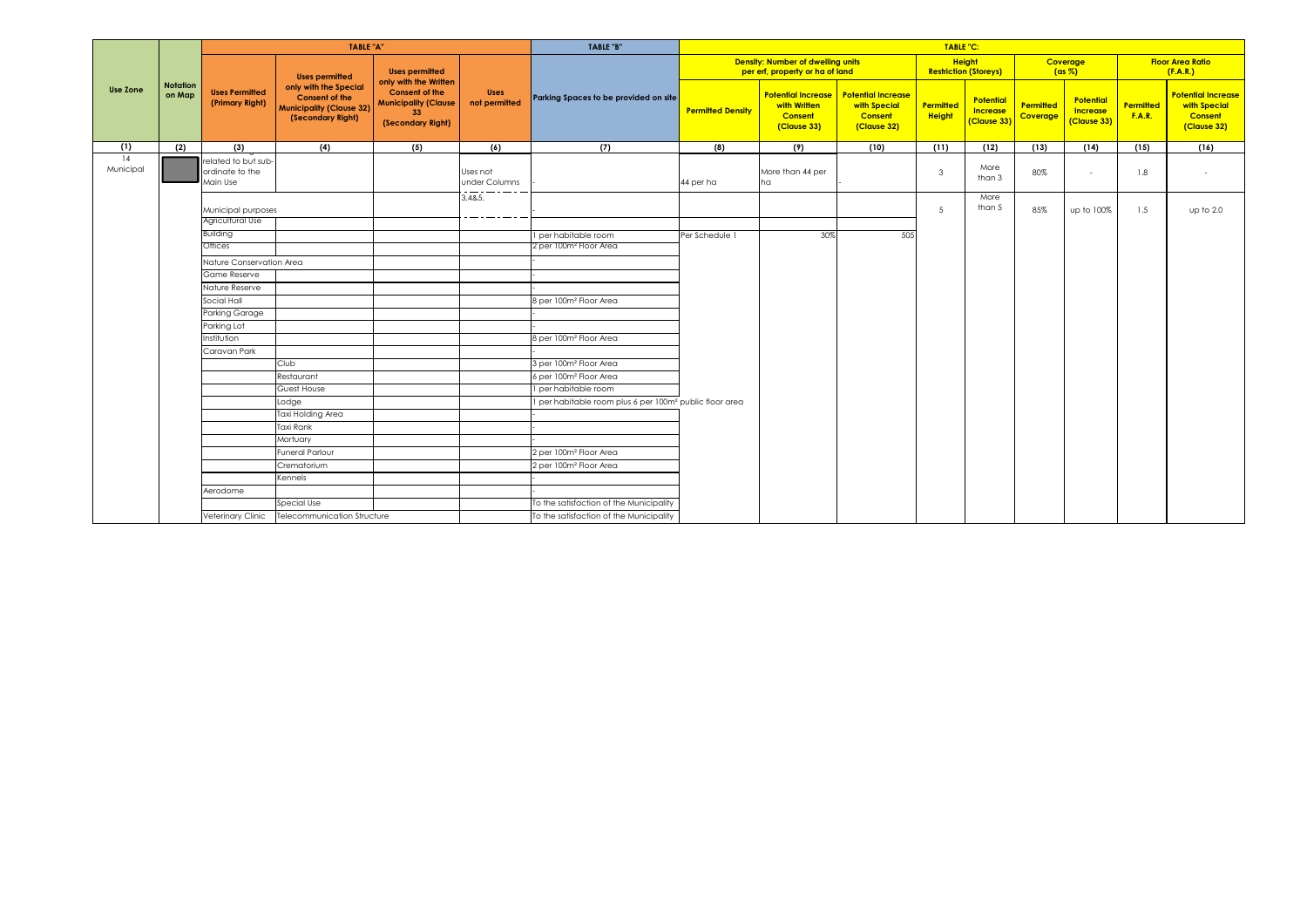|                 |                           |                                                    | <b>TABLE "A"</b>                                                                                       |                                                                                                          |                              | <b>TABLE "B"</b>                                                    | TABLE "C:                |                                                                             |                                                                            |                            |                                               |                       |                                             |                            |                                                                     |
|-----------------|---------------------------|----------------------------------------------------|--------------------------------------------------------------------------------------------------------|----------------------------------------------------------------------------------------------------------|------------------------------|---------------------------------------------------------------------|--------------------------|-----------------------------------------------------------------------------|----------------------------------------------------------------------------|----------------------------|-----------------------------------------------|-----------------------|---------------------------------------------|----------------------------|---------------------------------------------------------------------|
|                 |                           |                                                    | <b>Uses permitted</b>                                                                                  | <b>Uses permitted</b>                                                                                    |                              |                                                                     |                          | <b>Density: Number of dwelling units</b><br>per erf, property or ha of land |                                                                            |                            | <b>Height</b><br><b>Restriction (Storeys)</b> |                       | Coverage<br>$(ax \%)$                       |                            | <b>Floor Area Ratio</b><br>(F.A.R.)                                 |
| Use Zone        | <b>Notation</b><br>on Map | <b>Uses Permitted</b><br>(Primary Right)           | only with the Special<br><b>Consent of the</b><br><b>Municipality (Clause 32)</b><br>(Secondary Right) | only with the Written<br><b>Consent of the</b><br><b>Municipality (Clause</b><br>33<br>(Secondary Right) | <b>Uses</b><br>not permitted | Parking Spaces to be provided on site                               | <b>Permitted Density</b> | <b>Potential Increase</b><br>with Written<br><b>Consent</b><br>(Clause 33)  | <b>Potential Increase</b><br>with Special<br><b>Consent</b><br>(Clause 32) | Permitted<br><b>Height</b> | <b>Potential</b><br>Increase<br>(Clause 33)   | Permitted<br>Coverage | Potential<br><b>Increase</b><br>(Clause 33) | Permitted<br><b>F.A.R.</b> | <b>Potential Increase</b><br>with Special<br>Consent<br>(Clause 32) |
| (1)             | (2)                       | (3)                                                | (4)                                                                                                    | (5)                                                                                                      | (6)                          | (7)                                                                 | (8)                      | (9)                                                                         | (10)                                                                       | (11)                       | (12)                                          | (13)                  | (14)                                        | (15)                       | (16)                                                                |
| 14<br>Municipal |                           | related to but sub-<br>ordinate to the<br>Main Use |                                                                                                        |                                                                                                          | Uses not<br>under Columns    |                                                                     | 44 per ha                | More than 44 per<br>ha                                                      |                                                                            | 3                          | More<br>than 3                                | 80%                   | $\sim$                                      | 1.8                        | $\sim$                                                              |
|                 |                           | Municipal purposes<br>Agricultural Use             |                                                                                                        |                                                                                                          | 3,4&5.                       |                                                                     |                          |                                                                             |                                                                            | 5                          | More<br>than 5                                | 85%                   | up to 100%                                  | 1.5                        | up to 2.0                                                           |
|                 |                           | <b>Building</b>                                    |                                                                                                        |                                                                                                          |                              |                                                                     |                          |                                                                             |                                                                            |                            |                                               |                       |                                             |                            |                                                                     |
|                 |                           | Offices                                            |                                                                                                        |                                                                                                          |                              | I per habitable room<br>2 per 100m <del>°</del> Floor Area          | Per Schedule 1           | 30%                                                                         | 505                                                                        |                            |                                               |                       |                                             |                            |                                                                     |
|                 |                           |                                                    |                                                                                                        |                                                                                                          |                              |                                                                     |                          |                                                                             |                                                                            |                            |                                               |                       |                                             |                            |                                                                     |
|                 |                           | Nature Conservation Area<br>Game Reserve           |                                                                                                        |                                                                                                          |                              |                                                                     |                          |                                                                             |                                                                            |                            |                                               |                       |                                             |                            |                                                                     |
|                 |                           | Nature Reserve                                     |                                                                                                        |                                                                                                          |                              |                                                                     |                          |                                                                             |                                                                            |                            |                                               |                       |                                             |                            |                                                                     |
|                 |                           | Social Hall                                        |                                                                                                        |                                                                                                          |                              | 8 per 100m <sup>2</sup> Floor Area                                  |                          |                                                                             |                                                                            |                            |                                               |                       |                                             |                            |                                                                     |
|                 |                           | Parking Garage                                     |                                                                                                        |                                                                                                          |                              |                                                                     |                          |                                                                             |                                                                            |                            |                                               |                       |                                             |                            |                                                                     |
|                 |                           | Parking Lot                                        |                                                                                                        |                                                                                                          |                              |                                                                     |                          |                                                                             |                                                                            |                            |                                               |                       |                                             |                            |                                                                     |
|                 |                           | Institution                                        |                                                                                                        |                                                                                                          |                              | 8 per 100m <sup>2</sup> Floor Area                                  |                          |                                                                             |                                                                            |                            |                                               |                       |                                             |                            |                                                                     |
|                 |                           | Caravan Park                                       |                                                                                                        |                                                                                                          |                              |                                                                     |                          |                                                                             |                                                                            |                            |                                               |                       |                                             |                            |                                                                     |
|                 |                           |                                                    | Club                                                                                                   |                                                                                                          |                              | 3 per 100m <sup>2</sup> Floor Area                                  |                          |                                                                             |                                                                            |                            |                                               |                       |                                             |                            |                                                                     |
|                 |                           |                                                    | Restaurant                                                                                             |                                                                                                          |                              | 6 per 100m <sup>2</sup> Floor Area                                  |                          |                                                                             |                                                                            |                            |                                               |                       |                                             |                            |                                                                     |
|                 |                           |                                                    | Guest House                                                                                            |                                                                                                          |                              | I per habitable room                                                |                          |                                                                             |                                                                            |                            |                                               |                       |                                             |                            |                                                                     |
|                 |                           |                                                    | Lodge                                                                                                  |                                                                                                          |                              | 1 per habitable room plus 6 per 100m <sup>2</sup> public floor area |                          |                                                                             |                                                                            |                            |                                               |                       |                                             |                            |                                                                     |
|                 |                           |                                                    | Taxi Holding Area                                                                                      |                                                                                                          |                              |                                                                     |                          |                                                                             |                                                                            |                            |                                               |                       |                                             |                            |                                                                     |
|                 |                           |                                                    | <b>Taxi Rank</b>                                                                                       |                                                                                                          |                              |                                                                     |                          |                                                                             |                                                                            |                            |                                               |                       |                                             |                            |                                                                     |
|                 |                           |                                                    | Mortuary                                                                                               |                                                                                                          |                              |                                                                     |                          |                                                                             |                                                                            |                            |                                               |                       |                                             |                            |                                                                     |
|                 |                           |                                                    | <b>Funeral Parlour</b>                                                                                 |                                                                                                          |                              | 2 per 100m <sup>2</sup> Floor Area                                  |                          |                                                                             |                                                                            |                            |                                               |                       |                                             |                            |                                                                     |
|                 |                           |                                                    | Crematorium                                                                                            |                                                                                                          |                              | 2 per 100m <sup>2</sup> Floor Area                                  |                          |                                                                             |                                                                            |                            |                                               |                       |                                             |                            |                                                                     |
|                 |                           | Aerodome                                           | Kennels                                                                                                |                                                                                                          |                              |                                                                     |                          |                                                                             |                                                                            |                            |                                               |                       |                                             |                            |                                                                     |
|                 |                           |                                                    | Special Use                                                                                            |                                                                                                          |                              | To the satisfaction of the Municipality                             |                          |                                                                             |                                                                            |                            |                                               |                       |                                             |                            |                                                                     |
|                 |                           | <b>Veterinary Clinic</b>                           | Telecommunication Structure                                                                            |                                                                                                          |                              | To the satisfaction of the Municipality                             |                          |                                                                             |                                                                            |                            |                                               |                       |                                             |                            |                                                                     |
|                 |                           |                                                    |                                                                                                        |                                                                                                          |                              |                                                                     |                          |                                                                             |                                                                            |                            |                                               |                       |                                             |                            |                                                                     |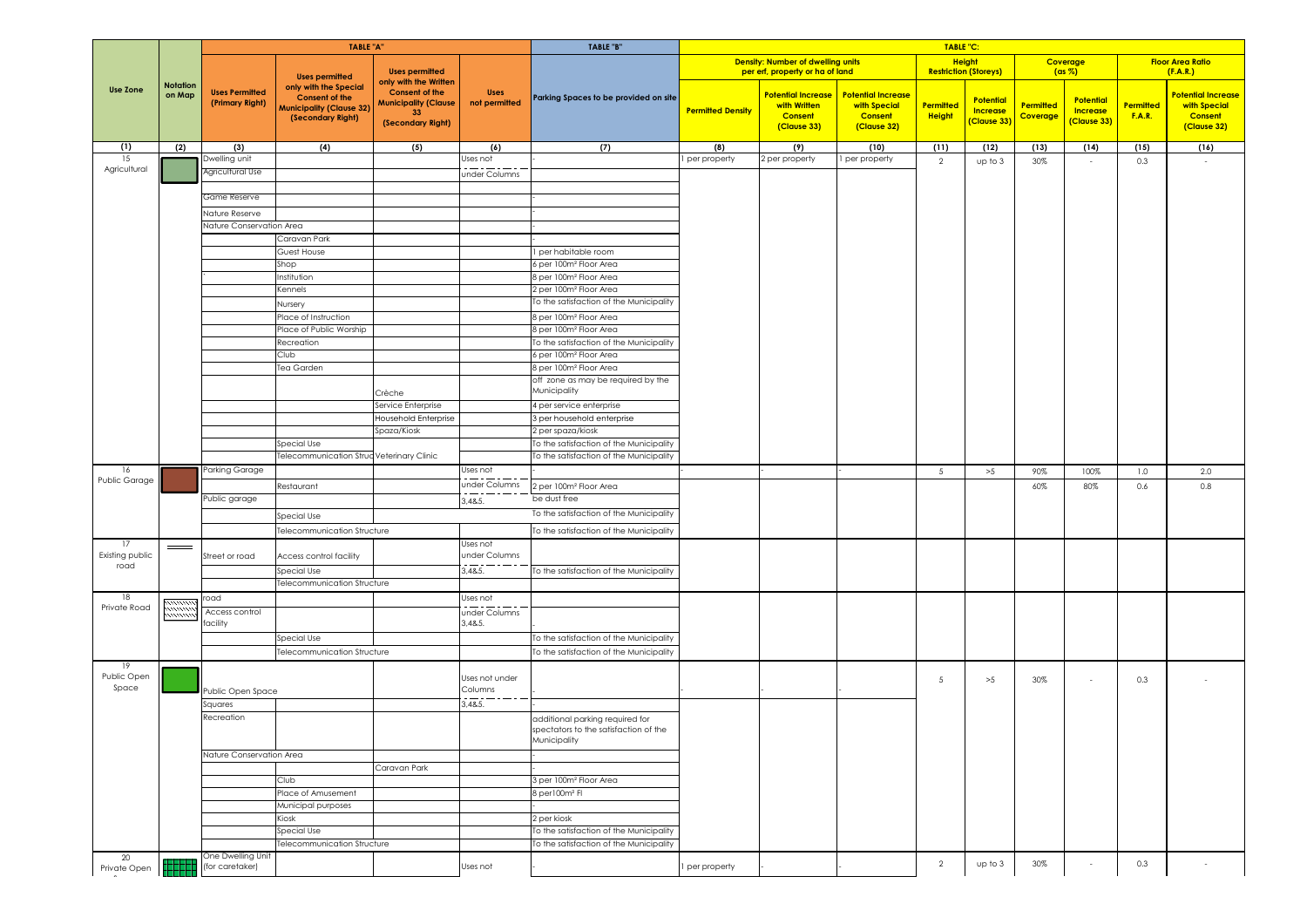|                       |                           |                                          | <b>TABLE "A"</b>                                                                                                                |                                                                                                          |                              | TABLE "B"                                                                          |                          |                                                                             |                                                                            | <b>TABLE "C:</b>             |                                             |                       |                                             |                                   |                                                                            |
|-----------------------|---------------------------|------------------------------------------|---------------------------------------------------------------------------------------------------------------------------------|----------------------------------------------------------------------------------------------------------|------------------------------|------------------------------------------------------------------------------------|--------------------------|-----------------------------------------------------------------------------|----------------------------------------------------------------------------|------------------------------|---------------------------------------------|-----------------------|---------------------------------------------|-----------------------------------|----------------------------------------------------------------------------|
|                       |                           |                                          |                                                                                                                                 | <b>Uses permitted</b>                                                                                    |                              |                                                                                    |                          | <b>Density: Number of dwelling units</b><br>per erf, property or ha of land |                                                                            | <b>Restriction (Storeys)</b> | <b>Height</b>                               | Coverage              | $(\text{as } \%)$                           |                                   | <b>Floor Area Ratio</b><br>(F.A.R.)                                        |
| <b>Use Zone</b>       | <b>Notation</b><br>on Map | <b>Uses Permitted</b><br>(Primary Right) | <b>Uses permitted</b><br>only with the Special<br><b>Consent of the</b><br><b>Municipality (Clause 32)</b><br>(Secondary Right) | only with the Written<br><b>Consent of the</b><br><b>Municipality (Clause</b><br>33<br>(Secondary Right) | <b>Uses</b><br>not permitted | Parking Spaces to be provided on site                                              | <b>Permitted Density</b> | <b>Potential Increase</b><br>with Written<br><b>Consent</b><br>(Clause 33)  | <b>Potential Increase</b><br>with Special<br><b>Consent</b><br>(Clause 32) | Permitted<br><b>Height</b>   | <b>Potential</b><br>Increase<br>(Clause 33) | Permitted<br>Coverage | Potential<br><b>Increase</b><br>(Clause 33) | <b>Permitted</b><br><b>F.A.R.</b> | <b>Potential Increase</b><br>with Special<br><b>Consent</b><br>(Clause 32) |
| (1)<br>15             | (2)                       | (3)<br>Dwelling unit                     | (4)                                                                                                                             | (5)                                                                                                      | (6)<br>Uses not              | (7)                                                                                | (8)                      | (9)                                                                         | (10)<br>per property                                                       | (11)                         | (12)                                        | (13)                  | (14)                                        | (15)                              | (16)                                                                       |
| Agricultural          |                           | Agricultural Use                         |                                                                                                                                 |                                                                                                          | under Columns                |                                                                                    | per property             | 2 per property                                                              |                                                                            | 2                            | up to 3                                     | 30%                   |                                             | 0.3                               |                                                                            |
|                       |                           |                                          |                                                                                                                                 |                                                                                                          |                              |                                                                                    |                          |                                                                             |                                                                            |                              |                                             |                       |                                             |                                   |                                                                            |
|                       |                           | Game Reserve                             |                                                                                                                                 |                                                                                                          |                              |                                                                                    |                          |                                                                             |                                                                            |                              |                                             |                       |                                             |                                   |                                                                            |
|                       |                           | Nature Reserve                           |                                                                                                                                 |                                                                                                          |                              |                                                                                    |                          |                                                                             |                                                                            |                              |                                             |                       |                                             |                                   |                                                                            |
|                       |                           | Nature Conservation Area                 |                                                                                                                                 |                                                                                                          |                              |                                                                                    |                          |                                                                             |                                                                            |                              |                                             |                       |                                             |                                   |                                                                            |
|                       |                           |                                          | Caravan Park                                                                                                                    |                                                                                                          |                              |                                                                                    |                          |                                                                             |                                                                            |                              |                                             |                       |                                             |                                   |                                                                            |
|                       |                           |                                          | Guest House                                                                                                                     |                                                                                                          |                              | I per habitable room                                                               |                          |                                                                             |                                                                            |                              |                                             |                       |                                             |                                   |                                                                            |
|                       |                           |                                          | Shop                                                                                                                            |                                                                                                          |                              | 6 per 100m <sup>2</sup> Floor Area                                                 |                          |                                                                             |                                                                            |                              |                                             |                       |                                             |                                   |                                                                            |
|                       |                           |                                          | nstitution                                                                                                                      |                                                                                                          |                              | 8 per 100m <sup>2</sup> Floor Area                                                 |                          |                                                                             |                                                                            |                              |                                             |                       |                                             |                                   |                                                                            |
|                       |                           |                                          | <b>Cennels</b>                                                                                                                  |                                                                                                          |                              | 2 per 100m <sup>2</sup> Floor Area<br>To the satisfaction of the Municipality      |                          |                                                                             |                                                                            |                              |                                             |                       |                                             |                                   |                                                                            |
|                       |                           |                                          | Vursery                                                                                                                         |                                                                                                          |                              |                                                                                    |                          |                                                                             |                                                                            |                              |                                             |                       |                                             |                                   |                                                                            |
|                       |                           |                                          | lace of Instruction<br>Place of Public Worship                                                                                  |                                                                                                          |                              | 8 per 100m <sup>2</sup> Floor Area<br>8 per 100m <sup>2</sup> Floor Area           |                          |                                                                             |                                                                            |                              |                                             |                       |                                             |                                   |                                                                            |
|                       |                           |                                          | Recreation                                                                                                                      |                                                                                                          |                              | To the satisfaction of the Municipality                                            |                          |                                                                             |                                                                            |                              |                                             |                       |                                             |                                   |                                                                            |
|                       |                           |                                          | Club                                                                                                                            |                                                                                                          |                              | 6 per 100m <sup>2</sup> Floor Area                                                 |                          |                                                                             |                                                                            |                              |                                             |                       |                                             |                                   |                                                                            |
|                       |                           |                                          | Tea Garden                                                                                                                      |                                                                                                          |                              | 8 per 100m <sup>2</sup> Floor Area                                                 |                          |                                                                             |                                                                            |                              |                                             |                       |                                             |                                   |                                                                            |
|                       |                           |                                          |                                                                                                                                 |                                                                                                          |                              | off zone as may be required by the                                                 |                          |                                                                             |                                                                            |                              |                                             |                       |                                             |                                   |                                                                            |
|                       |                           |                                          |                                                                                                                                 | Crèche                                                                                                   |                              | Municipality                                                                       |                          |                                                                             |                                                                            |                              |                                             |                       |                                             |                                   |                                                                            |
|                       |                           |                                          |                                                                                                                                 | Service Enterprise                                                                                       |                              | 4 per service enterprise                                                           |                          |                                                                             |                                                                            |                              |                                             |                       |                                             |                                   |                                                                            |
|                       |                           |                                          |                                                                                                                                 | <b>Household Enterprise</b>                                                                              |                              | 3 per household enterprise                                                         |                          |                                                                             |                                                                            |                              |                                             |                       |                                             |                                   |                                                                            |
|                       |                           |                                          |                                                                                                                                 | Spaza/Kiosk                                                                                              |                              | 2 per spaza/kiosk                                                                  |                          |                                                                             |                                                                            |                              |                                             |                       |                                             |                                   |                                                                            |
|                       |                           |                                          | Special Use<br>elecommunication Struc Veterinary Clinic                                                                         |                                                                                                          |                              | To the satisfaction of the Municipality<br>To the satisfaction of the Municipality |                          |                                                                             |                                                                            |                              |                                             |                       |                                             |                                   |                                                                            |
| 16                    |                           | arking Garage                            |                                                                                                                                 |                                                                                                          | Uses not                     |                                                                                    |                          |                                                                             |                                                                            | 5                            |                                             | 90%                   | 100%                                        | 1.0                               | 2.0                                                                        |
| Public Garage         |                           |                                          |                                                                                                                                 |                                                                                                          | under Columns                |                                                                                    |                          |                                                                             |                                                                            |                              | >5                                          |                       |                                             |                                   | 0.8                                                                        |
|                       |                           | Public garage                            | Restaurant                                                                                                                      |                                                                                                          | $\qquad \qquad -$            | 2 per 100m <sup>2</sup> Floor Area<br>be dust free                                 |                          |                                                                             |                                                                            |                              |                                             | 60%                   | 80%                                         | 0.6                               |                                                                            |
|                       |                           |                                          |                                                                                                                                 |                                                                                                          | 3,48.5.                      | To the satisfaction of the Municipality                                            |                          |                                                                             |                                                                            |                              |                                             |                       |                                             |                                   |                                                                            |
|                       |                           |                                          | Special Use                                                                                                                     |                                                                                                          |                              |                                                                                    |                          |                                                                             |                                                                            |                              |                                             |                       |                                             |                                   |                                                                            |
|                       |                           |                                          | elecommunication Structure                                                                                                      |                                                                                                          |                              | To the satisfaction of the Municipality                                            |                          |                                                                             |                                                                            |                              |                                             |                       |                                             |                                   |                                                                            |
| 17<br>Existing public |                           | Street or road                           | Access control facility                                                                                                         |                                                                                                          | Uses not<br>under Columns    |                                                                                    |                          |                                                                             |                                                                            |                              |                                             |                       |                                             |                                   |                                                                            |
| road                  |                           |                                          | Special Use                                                                                                                     |                                                                                                          | 3,48.5.                      | To the satisfaction of the Municipality                                            |                          |                                                                             |                                                                            |                              |                                             |                       |                                             |                                   |                                                                            |
|                       |                           |                                          | elecommunication Structure                                                                                                      |                                                                                                          |                              |                                                                                    |                          |                                                                             |                                                                            |                              |                                             |                       |                                             |                                   |                                                                            |
| 18                    | <i><u>ruwa</u></i>        | road                                     |                                                                                                                                 |                                                                                                          | Uses not                     |                                                                                    |                          |                                                                             |                                                                            |                              |                                             |                       |                                             |                                   |                                                                            |
| Private Road          | mmm<br>mmm                | Access control                           |                                                                                                                                 |                                                                                                          | under Columns                |                                                                                    |                          |                                                                             |                                                                            |                              |                                             |                       |                                             |                                   |                                                                            |
|                       |                           | acility                                  |                                                                                                                                 |                                                                                                          | 3,4&5.                       |                                                                                    |                          |                                                                             |                                                                            |                              |                                             |                       |                                             |                                   |                                                                            |
|                       |                           |                                          | Special Use                                                                                                                     |                                                                                                          |                              | To the satisfaction of the Municipality                                            |                          |                                                                             |                                                                            |                              |                                             |                       |                                             |                                   |                                                                            |
|                       |                           |                                          | elecommunication Structure                                                                                                      |                                                                                                          |                              | To the satisfaction of the Municipality                                            |                          |                                                                             |                                                                            |                              |                                             |                       |                                             |                                   |                                                                            |
| 19<br>Public Open     |                           |                                          |                                                                                                                                 |                                                                                                          |                              |                                                                                    |                          |                                                                             |                                                                            |                              |                                             |                       |                                             |                                   |                                                                            |
| Space                 |                           | Public Open Space                        |                                                                                                                                 |                                                                                                          | Uses not under<br>Columns    |                                                                                    |                          |                                                                             |                                                                            | 5                            | >5                                          | 30%                   | $\sim$                                      | 0.3                               |                                                                            |
|                       |                           | Squares                                  |                                                                                                                                 |                                                                                                          | 3,48.5.                      |                                                                                    |                          |                                                                             |                                                                            |                              |                                             |                       |                                             |                                   |                                                                            |
|                       |                           | ecreation?                               |                                                                                                                                 |                                                                                                          |                              | additional parking required for                                                    |                          |                                                                             |                                                                            |                              |                                             |                       |                                             |                                   |                                                                            |
|                       |                           |                                          |                                                                                                                                 |                                                                                                          |                              | spectators to the satisfaction of the<br>Municipality                              |                          |                                                                             |                                                                            |                              |                                             |                       |                                             |                                   |                                                                            |
|                       |                           | Nature Conservation Area                 |                                                                                                                                 |                                                                                                          |                              |                                                                                    |                          |                                                                             |                                                                            |                              |                                             |                       |                                             |                                   |                                                                            |
|                       |                           |                                          |                                                                                                                                 | Caravan Park                                                                                             |                              |                                                                                    |                          |                                                                             |                                                                            |                              |                                             |                       |                                             |                                   |                                                                            |
|                       |                           |                                          | Club                                                                                                                            |                                                                                                          |                              | 3 per 100m <sup>2</sup> Floor Area                                                 |                          |                                                                             |                                                                            |                              |                                             |                       |                                             |                                   |                                                                            |
|                       |                           |                                          | Place of Amusement                                                                                                              |                                                                                                          |                              | 8 per 100m <sup>2</sup> Fl                                                         |                          |                                                                             |                                                                            |                              |                                             |                       |                                             |                                   |                                                                            |
|                       |                           |                                          | Municipal purposes                                                                                                              |                                                                                                          |                              |                                                                                    |                          |                                                                             |                                                                            |                              |                                             |                       |                                             |                                   |                                                                            |
|                       |                           |                                          | Kiosk                                                                                                                           |                                                                                                          |                              | 2 per kiosk                                                                        |                          |                                                                             |                                                                            |                              |                                             |                       |                                             |                                   |                                                                            |
|                       |                           |                                          | Special Use                                                                                                                     |                                                                                                          |                              | To the satisfaction of the Municipality                                            |                          |                                                                             |                                                                            |                              |                                             |                       |                                             |                                   |                                                                            |
|                       |                           |                                          | Felecommunication Structure                                                                                                     |                                                                                                          |                              | To the satisfaction of the Municipality                                            |                          |                                                                             |                                                                            |                              |                                             |                       |                                             |                                   |                                                                            |
| 20                    |                           | One Dwelling Unit<br>(for caretaker)     |                                                                                                                                 |                                                                                                          | Uses not                     |                                                                                    | per property             |                                                                             |                                                                            | $\overline{2}$               | up to 3                                     | 30%                   |                                             | 0.3                               |                                                                            |
| Private Open          |                           |                                          |                                                                                                                                 |                                                                                                          |                              |                                                                                    |                          |                                                                             |                                                                            |                              |                                             |                       |                                             |                                   |                                                                            |

Space